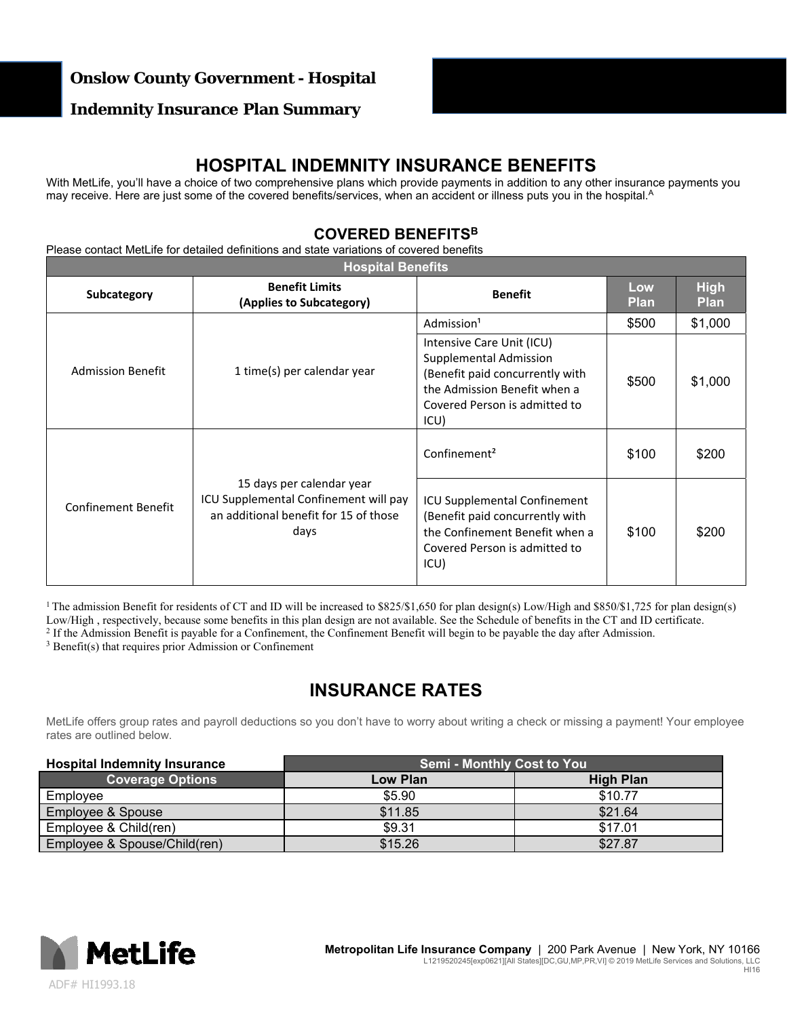### **Onslow County Government - Hospital**

### **Indemnity Insurance Plan Summary**

## **HOSPITAL INDEMNITY INSURANCE BENEFITS**

With MetLife, you'll have a choice of two comprehensive plans which provide payments in addition to any other insurance payments you may receive. Here are just some of the covered benefits/services, when an accident or illness puts you in the hospital.<sup>A</sup>

### **COVERED BENEFITSB**

Please contact MetLife for detailed definitions and state variations of covered benefits

| <b>Hospital Benefits</b>   |                                                                                                                     |                                                                                                                                                                 |                    |                            |  |
|----------------------------|---------------------------------------------------------------------------------------------------------------------|-----------------------------------------------------------------------------------------------------------------------------------------------------------------|--------------------|----------------------------|--|
| <b>Subcategory</b>         | <b>Benefit Limits</b><br>(Applies to Subcategory)                                                                   | <b>Benefit</b>                                                                                                                                                  | Low<br><b>Plan</b> | <b>High</b><br><b>Plan</b> |  |
|                            |                                                                                                                     | Admission <sup>1</sup>                                                                                                                                          | \$500              | \$1,000                    |  |
| <b>Admission Benefit</b>   | 1 time(s) per calendar year                                                                                         | Intensive Care Unit (ICU)<br>Supplemental Admission<br>(Benefit paid concurrently with<br>the Admission Benefit when a<br>Covered Person is admitted to<br>ICU) | \$500              | \$1,000                    |  |
| <b>Confinement Benefit</b> | 15 days per calendar year<br>ICU Supplemental Confinement will pay<br>an additional benefit for 15 of those<br>days | Confinement <sup>2</sup>                                                                                                                                        | \$100              | \$200                      |  |
|                            |                                                                                                                     | ICU Supplemental Confinement<br>(Benefit paid concurrently with<br>the Confinement Benefit when a<br>Covered Person is admitted to<br>ICU)                      | \$100              | \$200                      |  |

<sup>1</sup> The admission Benefit for residents of CT and ID will be increased to \$825/\$1,650 for plan design(s) Low/High and \$850/\$1,725 for plan design(s) Low/High, respectively, because some benefits in this plan design are not available. See the Schedule of benefits in the CT and ID certificate.<br><sup>2</sup> If the Admission Benefit is payable for a Confinement, the Confinement Ben

## **INSURANCE RATES**

MetLife offers group rates and payroll deductions so you don't have to worry about writing a check or missing a payment! Your employee rates are outlined below.

| <b>Hospital Indemnity Insurance</b> | <b>Semi - Monthly Cost to You</b> |                  |  |
|-------------------------------------|-----------------------------------|------------------|--|
| <b>Coverage Options</b>             | Low Plan                          | <b>High Plan</b> |  |
| Employee                            | \$5.90                            | \$10.77          |  |
| Employee & Spouse                   | \$11.85                           | \$21.64          |  |
| Employee & Child(ren)               | \$9.31                            | \$17.01          |  |
| Employee & Spouse/Child(ren)        | \$15.26                           | \$27.87          |  |